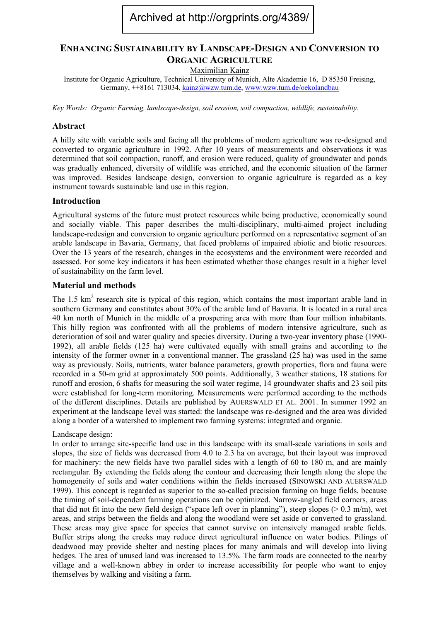# Archived at http://orgprints.org/4389/

# **ENHANCING SUSTAINABILITY BY LANDSCAPE-DESIGN AND CONVERSION TO ORGANIC AGRICULTURE**

Maximilian Kainz

Institute for Organic Agriculture, Technical University of Munich, Alte Akademie 16, D 85350 Freising, Germany, ++8161 713034, [kainz@wzw.tum.de,](mailto:kainz@wzw.tum.de) [www.wzw.tum.de/oekolandbau](http://www.wzw.tum.de/oekolandbau)

*Key Words: Organic Farming, landscape-design, soil erosion, soil compaction, wildlife, sustainability.* 

#### **Abstract**

A hilly site with variable soils and facing all the problems of modern agriculture was re-designed and converted to organic agriculture in 1992. After 10 years of measurements and observations it was determined that soil compaction, runoff, and erosion were reduced, quality of groundwater and ponds was gradually enhanced, diversity of wildlife was enriched, and the economic situation of the farmer was improved. Besides landscape design, conversion to organic agriculture is regarded as a key instrument towards sustainable land use in this region.

#### **Introduction**

Agricultural systems of the future must protect resources while being productive, economically sound and socially viable. This paper describes the multi-disciplinary, multi-aimed project including landscape-redesign and conversion to organic agriculture performed on a representative segment of an arable landscape in Bavaria, Germany, that faced problems of impaired abiotic and biotic resources. Over the 13 years of the research, changes in the ecosystems and the environment were recorded and assessed. For some key indicators it has been estimated whether those changes result in a higher level of sustainability on the farm level.

#### **Material and methods**

The 1.5  $km<sup>2</sup>$  research site is typical of this region, which contains the most important arable land in southern Germany and constitutes about 30% of the arable land of Bavaria. It is located in a rural area 40 km north of Munich in the middle of a prospering area with more than four million inhabitants. This hilly region was confronted with all the problems of modern intensive agriculture, such as deterioration of soil and water quality and species diversity. During a two-year inventory phase (1990- 1992), all arable fields (125 ha) were cultivated equally with small grains and according to the intensity of the former owner in a conventional manner. The grassland (25 ha) was used in the same way as previously. Soils, nutrients, water balance parameters, growth properties, flora and fauna were recorded in a 50-m grid at approximately 500 points. Additionally, 3 weather stations, 18 stations for runoff and erosion, 6 shafts for measuring the soil water regime, 14 groundwater shafts and 23 soil pits were established for long-term monitoring. Measurements were performed according to the methods of the different disciplines. Details are published by AUERSWALD ET AL. 2001. In summer 1992 an experiment at the landscape level was started: the landscape was re-designed and the area was divided along a border of a watershed to implement two farming systems: integrated and organic.

# Landscape design:

In order to arrange site-specific land use in this landscape with its small-scale variations in soils and slopes, the size of fields was decreased from 4.0 to 2.3 ha on average, but their layout was improved for machinery: the new fields have two parallel sides with a length of 60 to 180 m, and are mainly rectangular. By extending the fields along the contour and decreasing their length along the slope the homogeneity of soils and water conditions within the fields increased (SINOWSKI AND AUERSWALD 1999). This concept is regarded as superior to the so-called precision farming on huge fields, because the timing of soil-dependent farming operations can be optimized. Narrow-angled field corners, areas that did not fit into the new field design ("space left over in planning"), steep slopes ( $> 0.3$  m/m), wet areas, and strips between the fields and along the woodland were set aside or converted to grassland. These areas may give space for species that cannot survive on intensively managed arable fields. Buffer strips along the creeks may reduce direct agricultural influence on water bodies. Pilings of deadwood may provide shelter and nesting places for many animals and will develop into living hedges. The area of unused land was increased to 13.5%. The farm roads are connected to the nearby village and a well-known abbey in order to increase accessibility for people who want to enjoy themselves by walking and visiting a farm.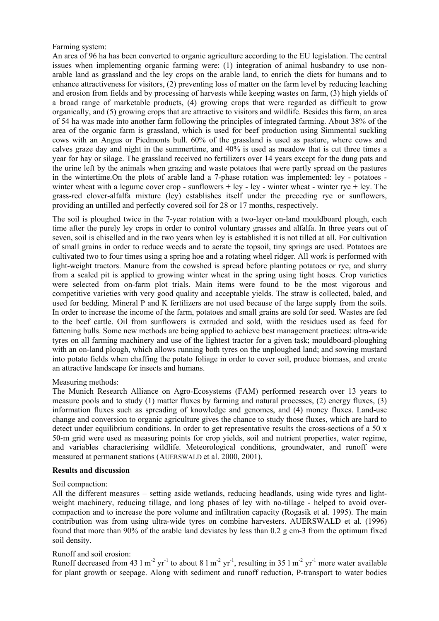# Farming system:

An area of 96 ha has been converted to organic agriculture according to the EU legislation. The central issues when implementing organic farming were: (1) integration of animal husbandry to use nonarable land as grassland and the ley crops on the arable land, to enrich the diets for humans and to enhance attractiveness for visitors, (2) preventing loss of matter on the farm level by reducing leaching and erosion from fields and by processing of harvests while keeping wastes on farm, (3) high yields of a broad range of marketable products, (4) growing crops that were regarded as difficult to grow organically, and (5) growing crops that are attractive to visitors and wildlife. Besides this farm, an area of 54 ha was made into another farm following the principles of integrated farming. About 38% of the area of the organic farm is grassland, which is used for beef production using Simmental suckling cows with an Angus or Piedmonts bull. 60% of the grassland is used as pasture, where cows and calves graze day and night in the summertime, and 40% is used as meadow that is cut three times a year for hay or silage. The grassland received no fertilizers over 14 years except for the dung pats and the urine left by the animals when grazing and waste potatoes that were partly spread on the pastures in the wintertime.On the plots of arable land a 7-phase rotation was implemented: ley - potatoes winter wheat with a legume cover crop - sunflowers + ley - ley - winter wheat - winter rye + ley. The grass-red clover-alfalfa mixture (ley) establishes itself under the preceding rye or sunflowers, providing an untilled and perfectly covered soil for 28 or 17 months, respectively.

The soil is ploughed twice in the 7-year rotation with a two-layer on-land mouldboard plough, each time after the purely ley crops in order to control voluntary grasses and alfalfa. In three years out of seven, soil is chiselled and in the two years when ley is established it is not tilled at all. For cultivation of small grains in order to reduce weeds and to aerate the topsoil, tiny springs are used. Potatoes are cultivated two to four times using a spring hoe and a rotating wheel ridger. All work is performed with light-weight tractors. Manure from the cowshed is spread before planting potatoes or rye, and slurry from a sealed pit is applied to growing winter wheat in the spring using tight hoses. Crop varieties were selected from on-farm plot trials. Main items were found to be the most vigorous and competitive varieties with very good quality and acceptable yields. The straw is collected, baled, and used for bedding. Mineral P and K fertilizers are not used because of the large supply from the soils. In order to increase the income of the farm, potatoes and small grains are sold for seed. Wastes are fed to the beef cattle. Oil from sunflowers is extruded and sold, wiith the residues used as feed for fattening bulls. Some new methods are being applied to achieve best management practices: ultra-wide tyres on all farming machinery and use of the lightest tractor for a given task; mouldboard-ploughing with an on-land plough, which allows running both tyres on the unploughed land; and sowing mustard into potato fields when chaffing the potato foliage in order to cover soil, produce biomass, and create an attractive landscape for insects and humans.

# Measuring methods:

The Munich Research Alliance on Agro-Ecosystems (FAM) performed research over 13 years to measure pools and to study (1) matter fluxes by farming and natural processes, (2) energy fluxes, (3) information fluxes such as spreading of knowledge and genomes, and (4) money fluxes. Land-use change and conversion to organic agriculture gives the chance to study those fluxes, which are hard to detect under equilibrium conditions. In order to get representative results the cross-sections of a 50 x 50-m grid were used as measuring points for crop yields, soil and nutrient properties, water regime, and variables characterising wildlife. Meteorological conditions, groundwater, and runoff were measured at permanent stations (AUERSWALD et al. 2000, 2001).

# **Results and discussion**

# Soil compaction:

All the different measures – setting aside wetlands, reducing headlands, using wide tyres and lightweight machinery, reducing tillage, and long phases of ley with no-tillage - helped to avoid overcompaction and to increase the pore volume and infiltration capacity (Rogasik et al. 1995). The main contribution was from using ultra-wide tyres on combine harvesters. AUERSWALD et al. (1996) found that more than 90% of the arable land deviates by less than 0.2 g cm-3 from the optimum fixed soil density.

# Runoff and soil erosion:

Runoff decreased from 43 l m<sup>-2</sup> yr<sup>-1</sup> to about 8 l m<sup>-2</sup> yr<sup>-1</sup>, resulting in 35 l m<sup>-2</sup> yr<sup>-1</sup> more water available for plant growth or seepage. Along with sediment and runoff reduction, P-transport to water bodies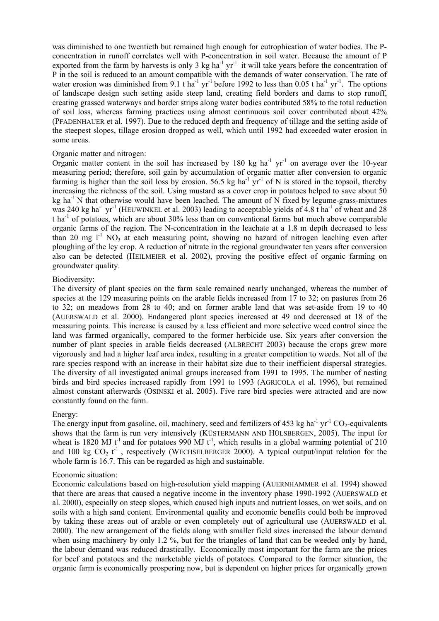was diminished to one twentieth but remained high enough for eutrophication of water bodies. The Pconcentration in runoff correlates well with P-concentration in soil water. Because the amount of P exported from the farm by harvests is only 3 kg ha<sup>-1</sup> yr<sup>-1</sup> it will take years before the concentration of P in the soil is reduced to an amount compatible with the demands of water conservation. The rate of water erosion was diminished from 9.1 t ha<sup>-1</sup> yr<sup>-1</sup> before 1992 to less than 0.05 t ha<sup>-1</sup> yr<sup>-1</sup>. The options of landscape design such setting aside steep land, creating field borders and dams to stop runoff, creating grassed waterways and border strips along water bodies contributed 58% to the total reduction of soil loss, whereas farming practices using almost continuous soil cover contributed about 42% (PFADENHAUER et al. 1997). Due to the reduced depth and frequency of tillage and the setting aside of the steepest slopes, tillage erosion dropped as well, which until 1992 had exceeded water erosion in some areas.

# Organic matter and nitrogen:

Organic matter content in the soil has increased by  $180 \text{ kg } \text{ha}^{-1} \text{ yr}^{-1}$  on average over the 10-year measuring period; therefore, soil gain by accumulation of organic matter after conversion to organic farming is higher than the soil loss by erosion. 56.5 kg ha<sup>-1</sup> yr<sup>-1</sup> of N is stored in the topsoil, thereby increasing the richness of the soil. Using mustard as a cover crop in potatoes helped to save about 50 kg ha<sup>-1</sup> N that otherwise would have been leached. The amount of N fixed by legume-grass-mixtures was 240 kg ha<sup>-1</sup> yr<sup>-1</sup> (HEUWINKEL et al. 2003) leading to acceptable yields of 4.8 t ha<sup>-1</sup> of wheat and 28 t ha-1 of potatoes, which are about 30% less than on conventional farms but much above comparable organic farms of the region. The N-concentration in the leachate at a 1.8 m depth decreased to less than 20 mg  $1^1$  NO<sub>3</sub> at each measuring point, showing no hazard of nitrogen leaching even after ploughing of the ley crop. A reduction of nitrate in the regional groundwater ten years after conversion also can be detected (HEILMEIER et al. 2002), proving the positive effect of organic farming on groundwater quality.

#### Biodiversity:

The diversity of plant species on the farm scale remained nearly unchanged, whereas the number of species at the 129 measuring points on the arable fields increased from 17 to 32; on pastures from 26 to 32; on meadows from 28 to 40; and on former arable land that was set-aside from 19 to 40 (AUERSWALD et al. 2000). Endangered plant species increased at 49 and decreased at 18 of the measuring points. This increase is caused by a less efficient and more selective weed control since the land was farmed organically, compared to the former herbicide use. Six years after conversion the number of plant species in arable fields decreased (ALBRECHT 2003) because the crops grew more vigorously and had a higher leaf area index, resulting in a greater competition to weeds. Not all of the rare species respond with an increase in their habitat size due to their inefficient dispersal strategies. The diversity of all investigated animal groups increased from 1991 to 1995. The number of nesting birds and bird species increased rapidly from 1991 to 1993 (AGRICOLA et al. 1996), but remained almost constant afterwards (OSINSKI et al. 2005). Five rare bird species were attracted and are now constantly found on the farm.

#### Energy:

The energy input from gasoline, oil, machinery, seed and fertilizers of 453 kg ha<sup>-1</sup> yr<sup>-1</sup> CO<sub>2</sub>-equivalents shows that the farm is run very intensively (KÜSTERMANN AND HÜLSBERGEN, 2005). The input for wheat is 1820 MJ  $t^{-1}$  and for potatoes 990 MJ  $t^{-1}$ , which results in a global warming potential of 210 and 100 kg  $CO_2$   $t^{-1}$ , respectively (WECHSELBERGER 2000). A typical output/input relation for the whole farm is 16.7. This can be regarded as high and sustainable.

#### Economic situation:

Economic calculations based on high-resolution yield mapping (AUERNHAMMER et al. 1994) showed that there are areas that caused a negative income in the inventory phase 1990-1992 (AUERSWALD et al. 2000), especially on steep slopes, which caused high inputs and nutrient losses, on wet soils, and on soils with a high sand content. Environmental quality and economic benefits could both be improved by taking these areas out of arable or even completely out of agricultural use (AUERSWALD et al. 2000). The new arrangement of the fields along with smaller field sizes increased the labour demand when using machinery by only 1.2 %, but for the triangles of land that can be weeded only by hand, the labour demand was reduced drastically. Economically most important for the farm are the prices for beef and potatoes and the marketable yields of potatoes. Compared to the former situation, the organic farm is economically prospering now, but is dependent on higher prices for organically grown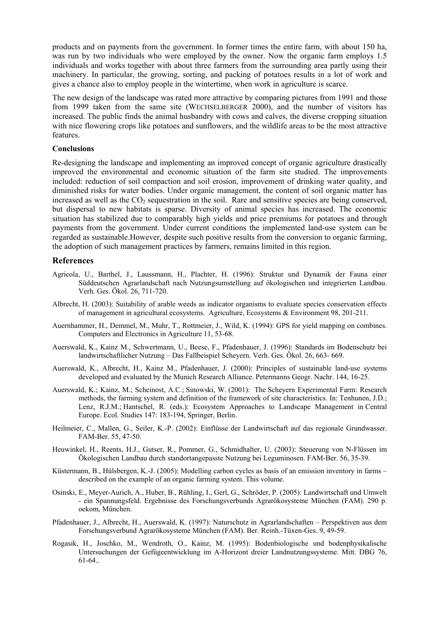products and on payments from the government. In former times the entire farm, with about 150 ha, was run by two individuals who were employed by the owner. Now the organic farm employs 1.5 individuals and works together with about three farmers from the surrounding area partly using their machinery. In particular, the growing, sorting, and packing of potatoes results in a lot of work and gives a chance also to employ people in the wintertime, when work in agriculture is scarce.

The new design of the landscape was rated more attractive by comparing pictures from 1991 and those from 1999 taken from the same site (WECHSELBERGER 2000), and the number of visitors has increased. The public finds the animal husbandry with cows and calves, the diverse cropping situation with nice flowering crops like potatoes and sunflowers, and the wildlife areas to be the most attractive features.

#### **Conclusions**

Re-designing the landscape and implementing an improved concept of organic agriculture drastically improved the environmental and economic situation of the farm site studied. The improvements included: reduction of soil compaction and soil erosion, improvement of drinking water quality, and diminished risks for water bodies. Under organic management, the content of soil organic matter has increased as well as the  $CO<sub>2</sub>$  sequestration in the soil. Rare and sensitive species are being conserved, but dispersal to new habitats is sparse. Diversity of animal species has increased. The economic situation has stabilized due to comparably high yields and price premiums for potatoes and through payments from the government. Under current conditions the implemented land-use system can be regarded as sustainable.However, despite such positive results from the conversion to organic farming, the adoption of such management practices by farmers, remains limited in this region.

#### **References**

- Agricola, U., Barthel, J., Laussmann, H., Plachter, H. (1996): Struktur und Dynamik der Fauna einer Süddeutschen Agrarlandschaft nach Nutzungsumstellung auf ökologischen und integrierten Landbau. Verh. Ges. Ökol. 26, 711-720.
- Albrecht, H. (2003): Suitability of arable weeds as indicator organisms to evaluate species conservation effects of management in agricultural ecosystems. Agriculture, Ecosystems & Environment 98, 201-211.
- Auernhammer, H., Demmel, M., Muhr, T., Rottmeier, J., Wild, K. (1994): GPS for yield mapping on combines. Computers and Electronics in Agriculture 11, 53-68.
- Auerswald, K., Kainz M., Schwertmann, U., Beese, F., Pfadenhauer, J. (1996): Standards im Bodenschutz bei landwirtschaftlicher Nutzung – Das Fallbeispiel Scheyern. Verh. Ges. Ökol. 26, 663- 669.
- Auerswald, K., Albrecht, H., Kainz M., Pfadenhauer, J. (2000): Principles of sustainable land-use systems developed and evaluated by the Munich Research Alliance. Petermanns Geogr. Nachr. 144, 16-25.
- Auerswald, K.; Kainz, M.; Scheinost, A.C.; Sinowski, W. (2001): The Scheyern Experimental Farm: Research methods, the farming system and definition of the framework of site characteristics. In: Tenhunen, J.D.; Lenz, R.J.M.; Hantschel, R. (eds.): Ecosystem Approaches to Landscape Management in Central Europe. Ecol. Studies 147: 183-194, Springer, Berlin.
- Heilmeier, C., Mallen, G., Seiler, K.-P. (2002): Einflüsse der Landwirtschaft auf das regionale Grundwasser. FAM-Ber. 55, 47-50.
- Heuwinkel, H., Reents, H.J., Gutser, R., Pommer, G., Schmidhalter, U. (2003): Steuerung von N-Flüssen im Ökologischen Landbau durch standortangepasste Nutzung bei Leguminosen. FAM-Ber. 56, 35-39.
- Küstermann, B., Hülsbergen, K.-J. (2005): Modelling carbon cycles as basis of an emission inventory in farms described on the example of an organic farming system. This volume.
- Osinski, E., Meyer-Aurich, A., Huber, B., Rühling, I., Gerl, G., Schröder, P. (2005): Landwirtschaft und Umwelt - ein Spannungsfeld. Ergebnisse des Forschungsverbunds Agrarökosysteme München (FAM). 290 p. oekom, München.
- Pfadenhauer, J., Albrecht, H., Auerswald, K. (1997): Naturschutz in Agrarlandschaften Perspektiven aus dem Forschungsverbund Agrarökosysteme München (FAM). Ber. Reinh.-Tüxen-Ges. 9, 49-59.
- Rogasik, H., Joschko, M., Wendroth, O., Kainz, M. (1995): Bodenbiologische und bodenphysikalische Untersuchungen der Gefügeentwicklung im A-Horizont dreier Landnutzungssysteme. Mitt. DBG 76, 61-64..